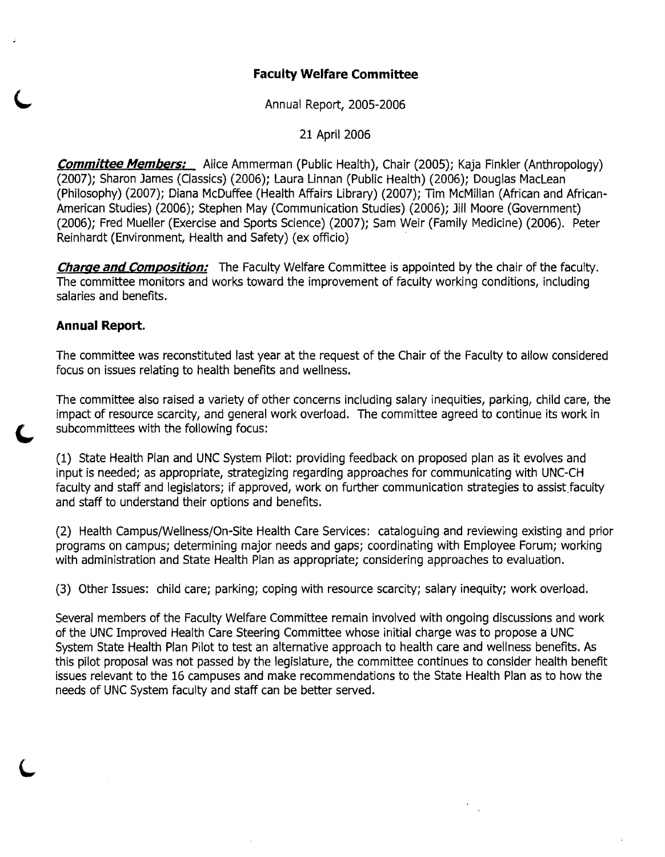# **Faculty Welfare Committee**

Annual Report, 2005-2006

21 April 2006

**Committee Members:** Alice Ammerman (Public Health), Chair (2005); Kaja Finkler (Anthropology) (2007); Sharon James (Classics) (2006); laura Linnan (Public Health) (2006); Douglas Maclean (Philosophy) (2007); Diana McDuffee (Health Affairs Library) (2007); Tim McMillan (African and African-American Studies) (2006); Stephen May (Communication Studies) (2006); Jill Moore (Government) (2006); Fred Mueller (Exercise and Sports Science) (2007); Sam Weir (Family Medicine) (2006). Peter Reinhardt (EnVironment, Health and Safety) (ex officio)

**Charge and Compositjon:** The Faculty Welfare Committee is appointed by the chair of the faculty. The committee monitors and works toward the improvement of faculty working conditions, including salaries and benefits.

# **Annual Report.**

The committee was reconstituted last year at the request of the Chair of the Faculty to allow considered focus on issues relating to health benefits and wellness.

The committee also raised a variety of other concerns including salary inequities, parking, child care, the impact of resource scarcity, and general work overload. The committee agreed to continue its work in subcommittees with the following focus:

(1) State Health Plan and UNC System Pilot: providing feedback on proposed plan as it evolves and input is needed; as appropriate, strategizing regarding approaches for communicating with UNC-CH faculty and staff and legislators; if approved, work on further communication strategies to assist faculty and staff to understand their options and benefits.

(2) Health Campus/Wellness/On-Site Health Care Services: cataloguing and reviewing existing and prior programs on campus; determining major needs and gaps; coordinating with Employee Forum; working with administration and State Health Plan as appropriate; considering approaches to evaluation.

(3) Other Issues: child care; parking; coping with resource scarcity; salary inequity; work overload.

Several members of the Faculty Welfare Committee remain involved with ongoing discussions and work of the UNC Improved Health Care Steering Committee whose initial charge was to propose a UNC System State Health Plan Pilot to test an alternative approach to health care and wellness benefits. As this pilot proposal was not passed by the legislature, the committee continues to consider health benefit issues relevant to the 16 campuses and make recommendations to the State Health Plan as to how the needs of UNC System faculty and staff can be better served.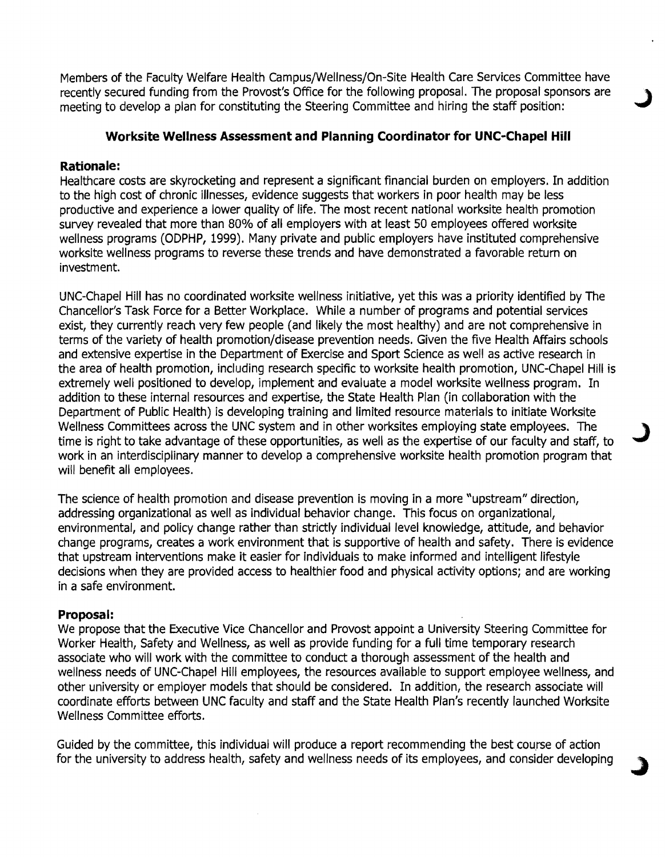Members of the Faculty Welfare Health Campus/Wellness/On-Site Health Care Services Committee have recently secured funding from the Provost's Office for the following proposal. The proposal sponsors are meeting to develop a plan for constituting the Steering Committee and hiring the staff position:

## **Worksite Wellness Assessment and Planning Coordinator for UNC-Chapel Hill**

### **Rationale:**

Healthcare costs are skyrocketing and represent a significant financial burden on employers. In addition to the high cost of chronic illnesses, evidence suggests that workers in poor health may be less productive and experience a lower quality of life. The most recent national worksite health promotion survey revealed that more than 80% of all employers with at least 50 employees offered worksite wellness programs (ODPHP, 1999). Many private and public employers have instituted comprehensive worksite wellness programs to reverse these trends and have demonstrated a favorable return on investment.

UNC-Chapel Hill has no coordinated worksite wellness initiative, yet this was a priority identified by The Chancellor's Task Force for a Better Workplace. While a number of programs and potential services exist, they currently reach very few people (and likely the most healthy) and are not comprehensive in terms of the variety of health promotion/disease prevention needs. Given the five Health Affairs schools and extensive expertise in the Department of Exercise and Sport Science as well as active research in the area of health promotion, including research specific to worksite health promotion, UNC-Chapel Hill is extremely well positioned to develop, implement and evaluate a model worksite wellness program. In addition to these internal resources and expertise, the State Health Plan (in collaboration with the Department of Public Health) is developing training and limited resource materials to initiate Worksite Wellness Committees across the UNC system and in other worksites employing state employees. The time is right to take advantage of these opportunities, as well as the expertise of our faculty and staff, to work in an interdisciplinary manner to develop a comprehensive worksite health promotion program that will benefit all employees.

The science of health promotion and disease prevention is moving in a more "upstream" direction, addressing organizational as well as individual behavior change. This focus on organizational, environmental, and policy change rather than strictly individual level knowledge, attitude, and behavior change programs, creates a work environment that is supportive of health and safety. There is evidence that upstream interventions make it easier for individuals to make informed and intelligent lifestyle decisions when they are provided access to healthier food and physical activity options; and are working in a safe environment.

### **Proposal:**

We propose that the Executive Vice Chancellor and Provost appoint a University Steering Committee for Worker Health, Safety and Wellness, as well as provide funding for a full time temporary research associate who will work with the committee to conduct a thorough assessment of the health and wellness needs of UNC-Chapel Hill employees, the resources available to support employee wellness, and other university or employer models that should be considered. In addition, the research associate will coordinate efforts between LlNC faculty and staff and the State Health Plan's recently launched Worksite Wellness Committee efforts.

Guided by the committee, this individual will produce a report recommending the best course of action for the university to address health, safety and wellness needs of its employees, and consider developing